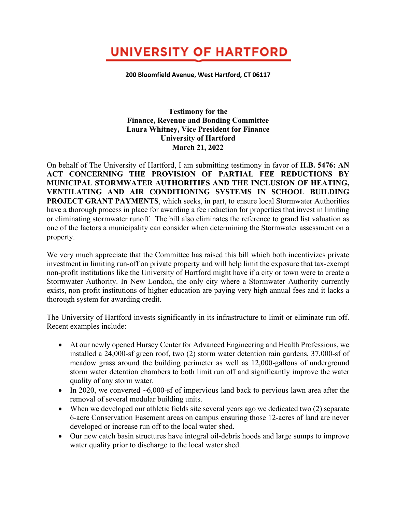## UNIVERSITY OF HARTFORD

**200 Bloomfield Avenue, West Hartford, CT 06117**

**Testimony for the Finance, Revenue and Bonding Committee Laura Whitney, Vice President for Finance University of Hartford March 21, 2022**

On behalf of The University of Hartford, I am submitting testimony in favor of **H.B. 5476: AN ACT CONCERNING THE PROVISION OF PARTIAL FEE REDUCTIONS BY MUNICIPAL STORMWATER AUTHORITIES AND THE INCLUSION OF HEATING, VENTILATING AND AIR CONDITIONING SYSTEMS IN SCHOOL BUILDING PROJECT GRANT PAYMENTS**, which seeks, in part, to ensure local Stormwater Authorities have a thorough process in place for awarding a fee reduction for properties that invest in limiting or eliminating stormwater runoff. The bill also eliminates the reference to grand list valuation as one of the factors a municipality can consider when determining the Stormwater assessment on a property.

We very much appreciate that the Committee has raised this bill which both incentivizes private investment in limiting run-off on private property and will help limit the exposure that tax-exempt non-profit institutions like the University of Hartford might have if a city or town were to create a Stormwater Authority. In New London, the only city where a Stormwater Authority currently exists, non-profit institutions of higher education are paying very high annual fees and it lacks a thorough system for awarding credit.

The University of Hartford invests significantly in its infrastructure to limit or eliminate run off. Recent examples include:

- At our newly opened Hursey Center for Advanced Engineering and Health Professions, we installed a 24,000-sf green roof, two (2) storm water detention rain gardens, 37,000-sf of meadow grass around the building perimeter as well as 12,000-gallons of underground storm water detention chambers to both limit run off and significantly improve the water quality of any storm water.
- In 2020, we converted  $\sim 6,000$ -sf of impervious land back to pervious lawn area after the removal of several modular building units.
- When we developed our athletic fields site several years ago we dedicated two (2) separate 6-acre Conservation Easement areas on campus ensuring those 12-acres of land are never developed or increase run off to the local water shed.
- Our new catch basin structures have integral oil-debris hoods and large sumps to improve water quality prior to discharge to the local water shed.